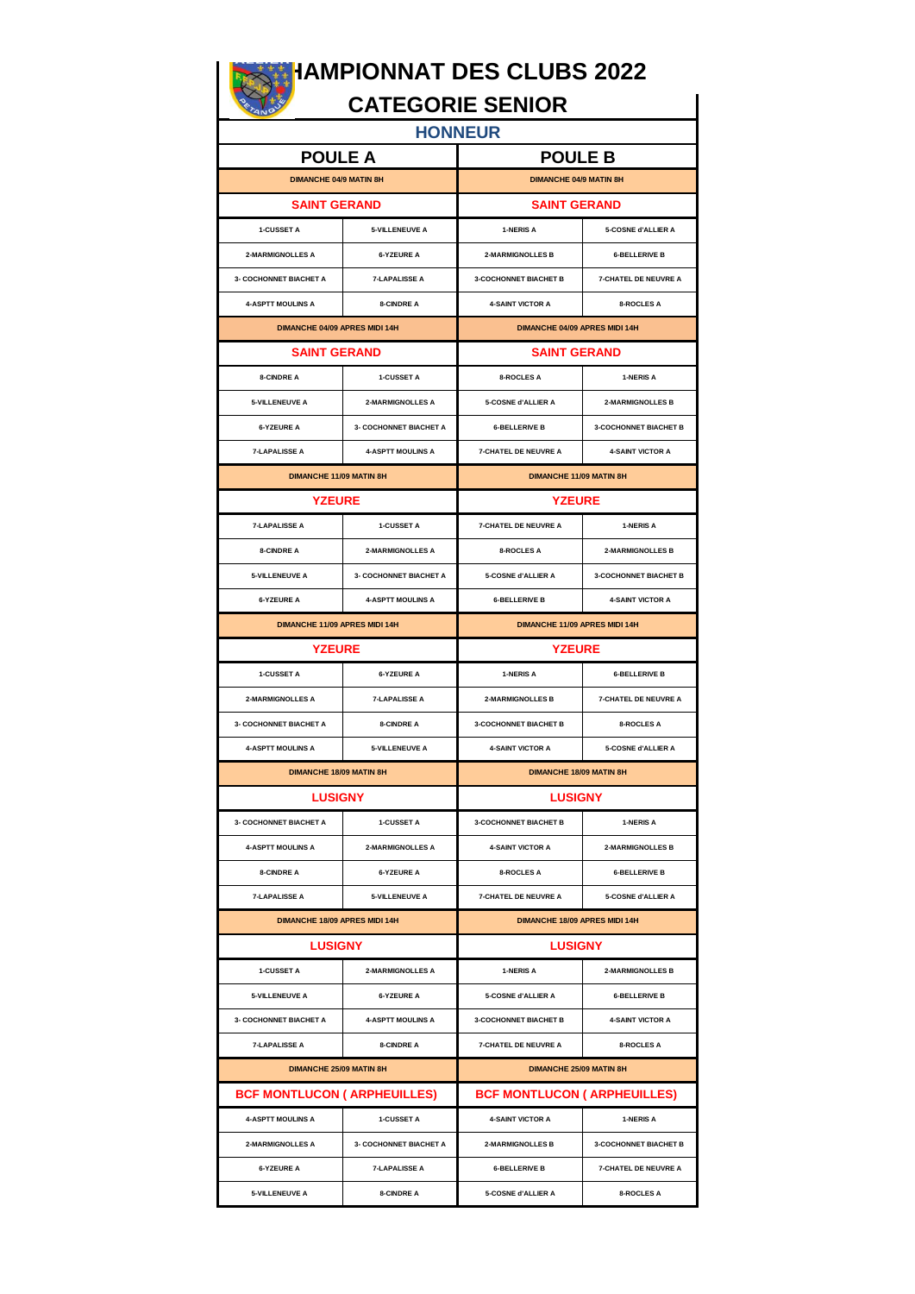# **CHAMPIONNAT DES CLUBS 2022**

## **CATEGORIE SENIOR**

| <b>HONNEUR</b>                      |                          |                                           |                              |  |  |  |  |
|-------------------------------------|--------------------------|-------------------------------------------|------------------------------|--|--|--|--|
| <b>POULE A</b>                      |                          | <b>POULE B</b>                            |                              |  |  |  |  |
| <b>DIMANCHE 04/9 MATIN 8H</b>       |                          | <b>DIMANCHE 04/9 MATIN 8H</b>             |                              |  |  |  |  |
| <b>SAINT GERAND</b>                 |                          | <b>SAINT GERAND</b>                       |                              |  |  |  |  |
| 1-CUSSET A                          | 5-VILLENEUVE A           | 1-NERIS A                                 | 5-COSNE d'ALLIER A           |  |  |  |  |
| 2-MARMIGNOLLES A                    | <b>6-YZEURE A</b>        | 2-MARMIGNOLLES B<br><b>6-BELLERIVE B</b>  |                              |  |  |  |  |
| 3- COCHONNET BIACHET A              | <b>7-LAPALISSE A</b>     | 3-COCHONNET BIACHET B                     | <b>7-CHATEL DE NEUVRE A</b>  |  |  |  |  |
| <b>4-ASPTT MOULINS A</b>            | 8-CINDRE A               | <b>4-SAINT VICTOR A</b>                   | <b>8-ROCLES A</b>            |  |  |  |  |
| DIMANCHE 04/09 APRES MIDI 14H       |                          | DIMANCHE 04/09 APRES MIDI 14H             |                              |  |  |  |  |
| <b>SAINT GERAND</b>                 |                          | <b>SAINT GERAND</b>                       |                              |  |  |  |  |
| <b>8-CINDRE A</b>                   | 1-CUSSET A               | <b>8-ROCLES A</b>                         | 1-NERIS A                    |  |  |  |  |
| <b>5-VILLENEUVE A</b>               | 2-MARMIGNOLLES A         | 5-COSNE d'ALLIER A                        | 2-MARMIGNOLLES B             |  |  |  |  |
| <b>6-YZEURE A</b>                   | 3- COCHONNET BIACHET A   | <b>6-BELLERIVE B</b>                      | 3-COCHONNET BIACHET B        |  |  |  |  |
| <b>7-LAPALISSE A</b>                | <b>4-ASPTT MOULINS A</b> | 7-CHATEL DE NEUVRE A                      | <b>4-SAINT VICTOR A</b>      |  |  |  |  |
| DIMANCHE 11/09 MATIN 8H             |                          | DIMANCHE 11/09 MATIN 8H                   |                              |  |  |  |  |
| <b>YZEURE</b>                       |                          | <b>YZEURE</b>                             |                              |  |  |  |  |
| <b>7-LAPALISSE A</b>                | 1-CUSSET A               | 7-CHATEL DE NEUVRE A                      | 1-NERIS A                    |  |  |  |  |
| <b>8-CINDRE A</b>                   | 2-MARMIGNOLLES A         | <b>8-ROCLES A</b>                         | 2-MARMIGNOLLES B             |  |  |  |  |
| <b>5-VILLENEUVE A</b>               | 3- COCHONNET BIACHET A   | 5-COSNE d'ALLIER A                        | 3-COCHONNET BIACHET B        |  |  |  |  |
| <b>6-YZEURE A</b>                   | <b>4-ASPTT MOULINS A</b> | <b>6-BELLERIVE B</b>                      | <b>4-SAINT VICTOR A</b>      |  |  |  |  |
| DIMANCHE 11/09 APRES MIDI 14H       |                          | DIMANCHE 11/09 APRES MIDI 14H             |                              |  |  |  |  |
| <b>YZEURE</b>                       |                          | <b>YZEURE</b>                             |                              |  |  |  |  |
| 1-CUSSET A                          | <b>6-YZEURE A</b>        | 1-NERIS A                                 | <b>6-BELLERIVE B</b>         |  |  |  |  |
| 2-MARMIGNOLLES A                    | <b>7-LAPALISSE A</b>     | 2-MARMIGNOLLES B                          | 7-CHATEL DE NEUVRE A         |  |  |  |  |
| <b>3- COCHONNET BIACHET A</b>       | 8-CINDRE A               | <b>3-COCHONNET BIACHET B</b>              | 8-ROCLES A                   |  |  |  |  |
| <b>4-ASPTT MOULINS A</b>            | <b>5-VILLENEUVE A</b>    | <b>4-SAINT VICTOR A</b>                   | 5-COSNE d'ALLIER A           |  |  |  |  |
| <b>DIMANCHE 18/09 MATIN 8H</b>      |                          | DIMANCHE 18/09 MATIN 8H                   |                              |  |  |  |  |
| <b>LUSIGNY</b>                      |                          | <b>LUSIGNY</b>                            |                              |  |  |  |  |
| 3- COCHONNET BIACHET A              | 1-CUSSET A               | 3-COCHONNET BIACHET B                     | 1-NERIS A                    |  |  |  |  |
| <b>4-ASPTT MOULINS A</b>            | 2-MARMIGNOLLES A         | 4-SAINT VICTOR A                          | 2-MARMIGNOLLES B             |  |  |  |  |
| <b>8-CINDRE A</b>                   | <b>6-YZEURE A</b>        | <b>8-ROCLES A</b>                         | <b>6-BELLERIVE B</b>         |  |  |  |  |
| <b>7-LAPALISSE A</b>                | 5-VILLENEUVE A           | 7-CHATEL DE NEUVRE A                      | 5-COSNE d'ALLIER A           |  |  |  |  |
| DIMANCHE 18/09 APRES MIDI 14H       |                          | DIMANCHE 18/09 APRES MIDI 14H             |                              |  |  |  |  |
| <b>LUSIGNY</b>                      |                          | <b>LUSIGNY</b>                            |                              |  |  |  |  |
| <b>1-CUSSET A</b>                   | 2-MARMIGNOLLES A         | 1-NERIS A                                 | <b>2-MARMIGNOLLES B</b>      |  |  |  |  |
| <b>5-VILLENEUVE A</b>               | <b>6-YZEURE A</b>        | 5-COSNE d'ALLIER A                        | <b>6-BELLERIVE B</b>         |  |  |  |  |
| 3- COCHONNET BIACHET A              | <b>4-ASPTT MOULINS A</b> | 3-COCHONNET BIACHET B                     | <b>4-SAINT VICTOR A</b>      |  |  |  |  |
| <b>7-LAPALISSE A</b>                | 8-CINDRE A               | 7-CHATEL DE NEUVRE A<br><b>8-ROCLES A</b> |                              |  |  |  |  |
| DIMANCHE 25/09 MATIN 8H             |                          | DIMANCHE 25/09 MATIN 8H                   |                              |  |  |  |  |
| <b>BCF MONTLUCON ( ARPHEUILLES)</b> |                          | <b>BCF MONTLUCON ( ARPHEUILLES)</b>       |                              |  |  |  |  |
| <b>4-ASPTT MOULINS A</b>            | 1-CUSSET A               | <b>4-SAINT VICTOR A</b>                   | 1-NERIS A                    |  |  |  |  |
| 2-MARMIGNOLLES A                    | 3- COCHONNET BIACHET A   | <b>2-MARMIGNOLLES B</b>                   | <b>3-COCHONNET BIACHET B</b> |  |  |  |  |
| <b>6-YZEURE A</b>                   | <b>7-LAPALISSE A</b>     | <b>6-BELLERIVE B</b>                      | 7-CHATEL DE NEUVRE A         |  |  |  |  |
| <b>5-VILLENEUVE A</b>               | 8-CINDRE A               | 5-COSNE d'ALLIER A                        | <b>8-ROCLES A</b>            |  |  |  |  |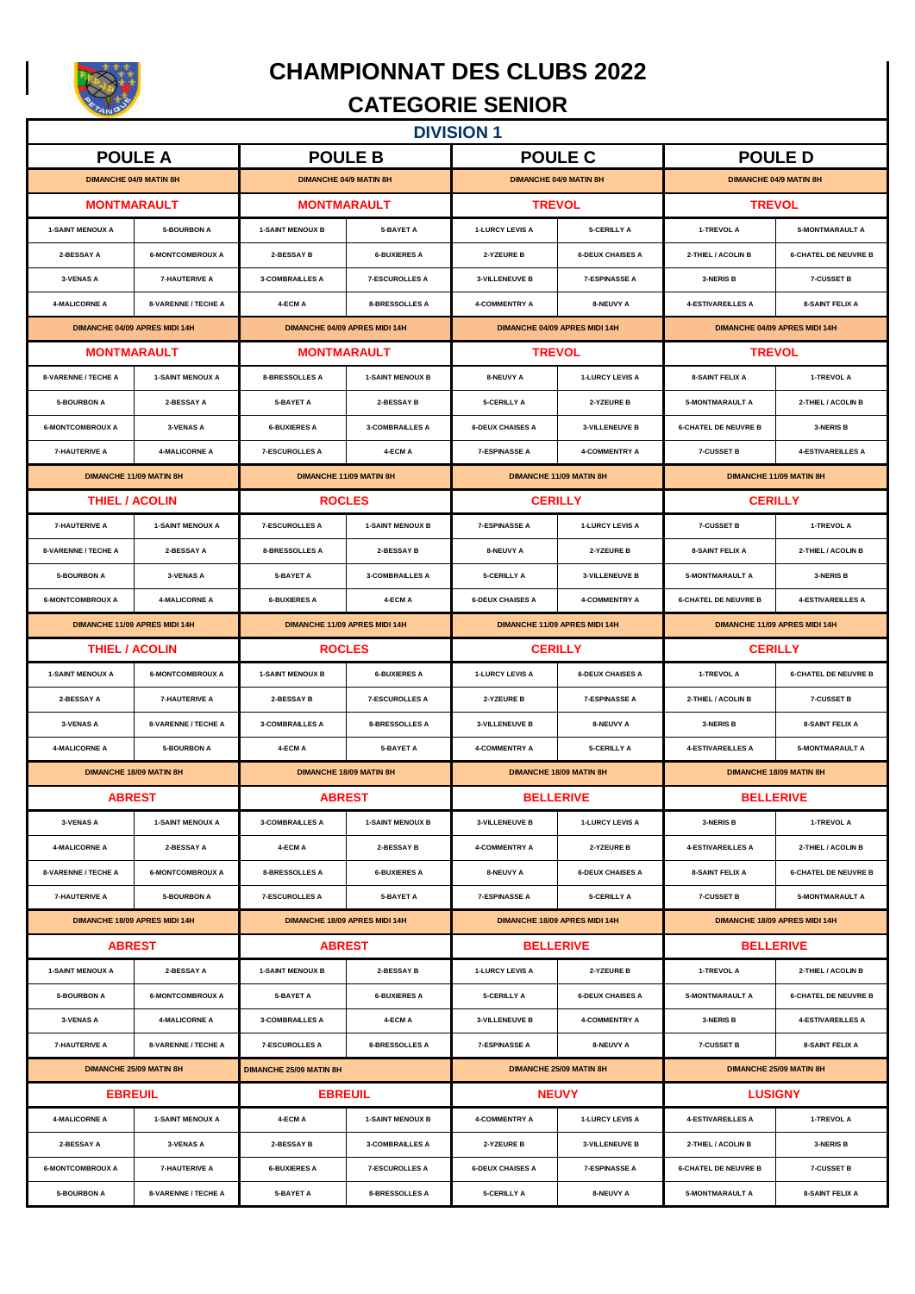

 $\overline{\phantom{a}}$ 

## **CHAMPIONNAT DES CLUBS 2022**

## **CATEGORIE SENIOR**

| <b>DIVISION 1</b>                                                |                                                           |                               |                                |                                      |                                |                               |                             |  |
|------------------------------------------------------------------|-----------------------------------------------------------|-------------------------------|--------------------------------|--------------------------------------|--------------------------------|-------------------------------|-----------------------------|--|
|                                                                  | <b>POULE A</b>                                            |                               | <b>POULE B</b>                 |                                      | <b>POULE C</b>                 | <b>POULED</b>                 |                             |  |
|                                                                  | <b>DIMANCHE 04/9 MATIN 8H</b>                             |                               | <b>DIMANCHE 04/9 MATIN 8H</b>  | <b>DIMANCHE 04/9 MATIN 8H</b>        |                                | <b>DIMANCHE 04/9 MATIN 8H</b> |                             |  |
|                                                                  | <b>MONTMARAULT</b>                                        |                               | <b>MONTMARAULT</b>             | <b>TREVOL</b>                        |                                | <b>TREVOL</b>                 |                             |  |
| <b>1-SAINT MENOUX A</b>                                          | <b>5-BOURBON A</b>                                        | <b>1-SAINT MENOUX B</b>       | 5-BAYET A                      | 1-LURCY LEVIS A                      | <b>5-CERILLY A</b>             | 1-TREVOL A                    | <b>5-MONTMARAULT A</b>      |  |
| 2-BESSAY A                                                       | <b>6-MONTCOMBROUX A</b>                                   | 2-BESSAY B                    | <b>6-BUXIERES A</b>            | 2-YZEURE B                           | <b>6-DEUX CHAISES A</b>        | 2-THIEL / ACOLIN B            | <b>6-CHATEL DE NEUVRE B</b> |  |
| <b>3-VENAS A</b>                                                 | <b>7-HAUTERIVE A</b>                                      | <b>3-COMBRAILLES A</b>        | <b>7-ESCUROLLES A</b>          | 3-VILLENEUVE B                       | <b>7-ESPINASSE A</b>           | 3-NERIS B                     | 7-CUSSET B                  |  |
| <b>4-MALICORNE A</b>                                             | 8-VARENNE / TECHE A                                       | 4-ECM A                       | 8-BRESSOLLES A                 | <b>4-COMMENTRY A</b>                 | 8-NEUVY A                      | <b>4-ESTIVAREILLES A</b>      | 8-SAINT FELIX A             |  |
|                                                                  | <b>DIMANCHE 04/09 APRES MIDI 14H</b>                      |                               | DIMANCHE 04/09 APRES MIDI 14H  | <b>DIMANCHE 04/09 APRES MIDI 14H</b> |                                | DIMANCHE 04/09 APRES MIDI 14H |                             |  |
|                                                                  | <b>MONTMARAULT</b>                                        |                               | <b>MONTMARAULT</b>             | <b>TREVOL</b>                        |                                | <b>TREVOL</b>                 |                             |  |
| 8-VARENNE / TECHE A                                              | <b>1-SAINT MENOUX A</b>                                   | 8-BRESSOLLES A                | <b>1-SAINT MENOUX B</b>        | 8-NEUVY A                            | <b>1-LURCY LEVIS A</b>         | <b>8-SAINT FELIX A</b>        | 1-TREVOL A                  |  |
| <b>5-BOURBON A</b>                                               | 2-BESSAY A                                                | 5-BAYET A                     | 2-BESSAY B                     | 5-CERILLY A                          | 2-YZEURE B                     | <b>5-MONTMARAULT A</b>        | 2-THIEL / ACOLIN B          |  |
| <b>6-MONTCOMBROUX A</b>                                          | 3-VENAS A                                                 | <b>6-BUXIERES A</b>           | <b>3-COMBRAILLES A</b>         | <b>6-DEUX CHAISES A</b>              | 3-VILLENEUVE B                 | <b>6-CHATEL DE NEUVRE B</b>   | 3-NERIS B                   |  |
| <b>7-HAUTERIVE A</b>                                             | <b>4-MALICORNE A</b>                                      | <b>7-ESCUROLLES A</b>         | 4-ECM A                        | <b>7-ESPINASSE A</b>                 | 4-COMMENTRY A                  | 7-CUSSET B                    | <b>4-ESTIVAREILLES A</b>    |  |
|                                                                  | <b>DIMANCHE 11/09 MATIN 8H</b>                            |                               | <b>DIMANCHE 11/09 MATIN 8H</b> |                                      | DIMANCHE 11/09 MATIN 8H        | DIMANCHE 11/09 MATIN 8H       |                             |  |
|                                                                  | <b>THIEL / ACOLIN</b>                                     |                               | <b>ROCLES</b>                  | <b>CERILLY</b>                       |                                | <b>CERILLY</b>                |                             |  |
| <b>7-HAUTERIVE A</b>                                             | <b>1-SAINT MENOUX A</b>                                   | <b>7-ESCUROLLES A</b>         | <b>1-SAINT MENOUX B</b>        | <b>7-ESPINASSE A</b>                 | <b>1-LURCY LEVIS A</b>         | 7-CUSSET B                    | 1-TREVOL A                  |  |
| 8-VARENNE / TECHE A                                              | 2-BESSAY A                                                | <b>8-BRESSOLLES A</b>         | 2-BESSAY B                     | 8-NEUVY A                            | 2-YZEURE B                     | <b>8-SAINT FELIX A</b>        | 2-THIEL / ACOLIN B          |  |
| <b>5-BOURBON A</b>                                               | 3-VENAS A                                                 | 5-BAYET A                     | <b>3-COMBRAILLES A</b>         | <b>5-CERILLY A</b>                   | 3-VILLENEUVE B                 | <b>5-MONTMARAULT A</b>        | 3-NERIS B                   |  |
| <b>6-MONTCOMBROUX A</b>                                          | <b>4-MALICORNE A</b>                                      | <b>6-BUXIERES A</b>           | 4-ECM A                        | <b>6-DEUX CHAISES A</b>              | <b>4-COMMENTRY A</b>           | <b>6-CHATEL DE NEUVRE B</b>   | <b>4-ESTIVAREILLES A</b>    |  |
|                                                                  | DIMANCHE 11/09 APRES MIDI 14H                             |                               | DIMANCHE 11/09 APRES MIDI 14H  |                                      | DIMANCHE 11/09 APRES MIDI 14H  | DIMANCHE 11/09 APRES MIDI 14H |                             |  |
| <b>THIEL / ACOLIN</b>                                            |                                                           | <b>ROCLES</b>                 |                                | <b>CERILLY</b>                       |                                | <b>CERILLY</b>                |                             |  |
| <b>1-SAINT MENOUX A</b>                                          | <b>6-MONTCOMBROUX A</b>                                   | <b>1-SAINT MENOUX B</b>       | <b>6-BUXIERES A</b>            | <b>1-LURCY LEVIS A</b>               | <b>6-DEUX CHAISES A</b>        | 1-TREVOL A                    | <b>6-CHATEL DE NEUVRE B</b> |  |
| 2-BESSAY A                                                       | <b>7-HAUTERIVE A</b>                                      | 2-BESSAY B                    | <b>7-ESCUROLLES A</b>          | 2-YZEURE B                           | <b>7-ESPINASSE A</b>           | 2-THIEL / ACOLIN B            | 7-CUSSET B                  |  |
| 3-VENAS A                                                        | 8-VARENNE / TECHE A                                       | <b>3-COMBRAILLES A</b>        | <b>8-BRESSOLLES A</b>          | 3-VILLENEUVE B                       | 8-NEUVY A                      | 3-NERIS B                     | <b>8-SAINT FELIX A</b>      |  |
| <b>4-MALICORNE A</b>                                             | <b>5-BOURBON A</b>                                        | 4-ECM A                       | <b>5-BAYET A</b>               | 4-COMMENTRY A                        | 5-CERILLY A                    | <b>4-ESTIVAREILLES A</b>      | <b>5-MONTMARAULT A</b>      |  |
| <b>DIMANCHE 18/09 MATIN 8H</b><br><b>DIMANCHE 18/09 MATIN 8H</b> |                                                           |                               | <b>DIMANCHE 18/09 MATIN 8H</b> |                                      | <b>DIMANCHE 18/09 MATIN 8H</b> |                               |                             |  |
|                                                                  | <b>ABREST</b>                                             |                               | <b>ABREST</b>                  | <b>BELLERIVE</b>                     |                                | <b>BELLERIVE</b>              |                             |  |
| 3-VENAS A                                                        | <b>1-SAINT MENOUX A</b>                                   | <b>3-COMBRAILLES A</b>        | <b>1-SAINT MENOUX B</b>        | 3-VILLENEUVE B                       | 1-LURCY LEVIS A                | 3-NERIS B                     | 1-TREVOL A                  |  |
| <b>4-MALICORNE A</b>                                             | 2-BESSAY A                                                | 4-ECM A                       | 2-BESSAY B                     | <b>4-COMMENTRY A</b>                 | 2-YZEURE B                     | <b>4-ESTIVAREILLES A</b>      | 2-THIEL / ACOLIN B          |  |
| 8-VARENNE / TECHE A                                              | <b>6-MONTCOMBROUX A</b>                                   | <b>8-BRESSOLLES A</b>         | <b>6-BUXIERES A</b>            | 8-NEUVY A                            | <b>6-DEUX CHAISES A</b>        | <b>8-SAINT FELIX A</b>        | <b>6-CHATEL DE NEUVRE B</b> |  |
| <b>7-HAUTERIVE A</b>                                             | <b>5-BOURBON A</b>                                        | <b>7-ESCUROLLES A</b>         | 5-BAYET A                      | <b>7-ESPINASSE A</b>                 | <b>5-CERILLY A</b>             | <b>7-CUSSET B</b>             | <b>5-MONTMARAULT A</b>      |  |
| DIMANCHE 18/09 APRES MIDI 14H                                    |                                                           | DIMANCHE 18/09 APRES MIDI 14H |                                | DIMANCHE 18/09 APRES MIDI 14H        |                                | DIMANCHE 18/09 APRES MIDI 14H |                             |  |
|                                                                  | <b>ABREST</b><br><b>ABREST</b>                            |                               |                                | <b>BELLERIVE</b>                     | <b>BELLERIVE</b>               |                               |                             |  |
| <b>1-SAINT MENOUX A</b>                                          | 2-BESSAY A                                                | <b>1-SAINT MENOUX B</b>       | 2-BESSAY B                     | 1-LURCY LEVIS A                      | 2-YZEURE B                     | 1-TREVOL A                    | 2-THIEL / ACOLIN B          |  |
| <b>5-BOURBON A</b>                                               | <b>6-MONTCOMBROUX A</b>                                   | 5-BAYET A                     | <b>6-BUXIERES A</b>            | 5-CERILLY A                          | <b>6-DEUX CHAISES A</b>        | <b>5-MONTMARAULT A</b>        | <b>6-CHATEL DE NEUVRE B</b> |  |
| 3-VENAS A                                                        | <b>4-MALICORNE A</b>                                      | <b>3-COMBRAILLES A</b>        | 4-ECM A                        | 3-VILLENEUVE B                       | 4-COMMENTRY A                  | 3-NERIS B                     | <b>4-ESTIVAREILLES A</b>    |  |
| <b>7-HAUTERIVE A</b>                                             | 8-VARENNE / TECHE A                                       | <b>7-ESCUROLLES A</b>         | 8-BRESSOLLES A                 | <b>7-ESPINASSE A</b>                 | 8-NEUVY A                      | <b>7-CUSSET B</b>             | <b>8-SAINT FELIX A</b>      |  |
|                                                                  | <b>DIMANCHE 25/09 MATIN 8H</b><br>DIMANCHE 25/09 MATIN 8H |                               | DIMANCHE 25/09 MATIN 8H        |                                      | DIMANCHE 25/09 MATIN 8H        |                               |                             |  |
|                                                                  | <b>EBREUIL</b>                                            |                               | <b>EBREUIL</b>                 | <b>NEUVY</b>                         |                                | <b>LUSIGNY</b>                |                             |  |
| <b>4-MALICORNE A</b>                                             | <b>1-SAINT MENOUX A</b>                                   | 4-ECM A                       | <b>1-SAINT MENOUX B</b>        | <b>4-COMMENTRY A</b>                 | <b>1-LURCY LEVIS A</b>         | <b>4-ESTIVAREILLES A</b>      | 1-TREVOL A                  |  |
| 2-BESSAY A                                                       | 3-VENAS A                                                 | 2-BESSAY B                    | <b>3-COMBRAILLES A</b>         | 2-YZEURE B                           | <b>3-VILLENEUVE B</b>          | 2-THIEL / ACOLIN B            | 3-NERIS B                   |  |
| <b>6-MONTCOMBROUX A</b>                                          | <b>7-HAUTERIVE A</b>                                      | <b>6-BUXIERES A</b>           | <b>7-ESCUROLLES A</b>          | <b>6-DEUX CHAISES A</b>              | <b>7-ESPINASSE A</b>           | <b>6-CHATEL DE NEUVRE B</b>   | <b>7-CUSSET B</b>           |  |
| <b>5-BOURBON A</b>                                               | 8-VARENNE / TECHE A                                       | 5-BAYET A                     | 8-BRESSOLLES A                 | 5-CERILLY A                          | 8-NEUVY A                      | <b>5-MONTMARAULT A</b>        | 8-SAINT FELIX A             |  |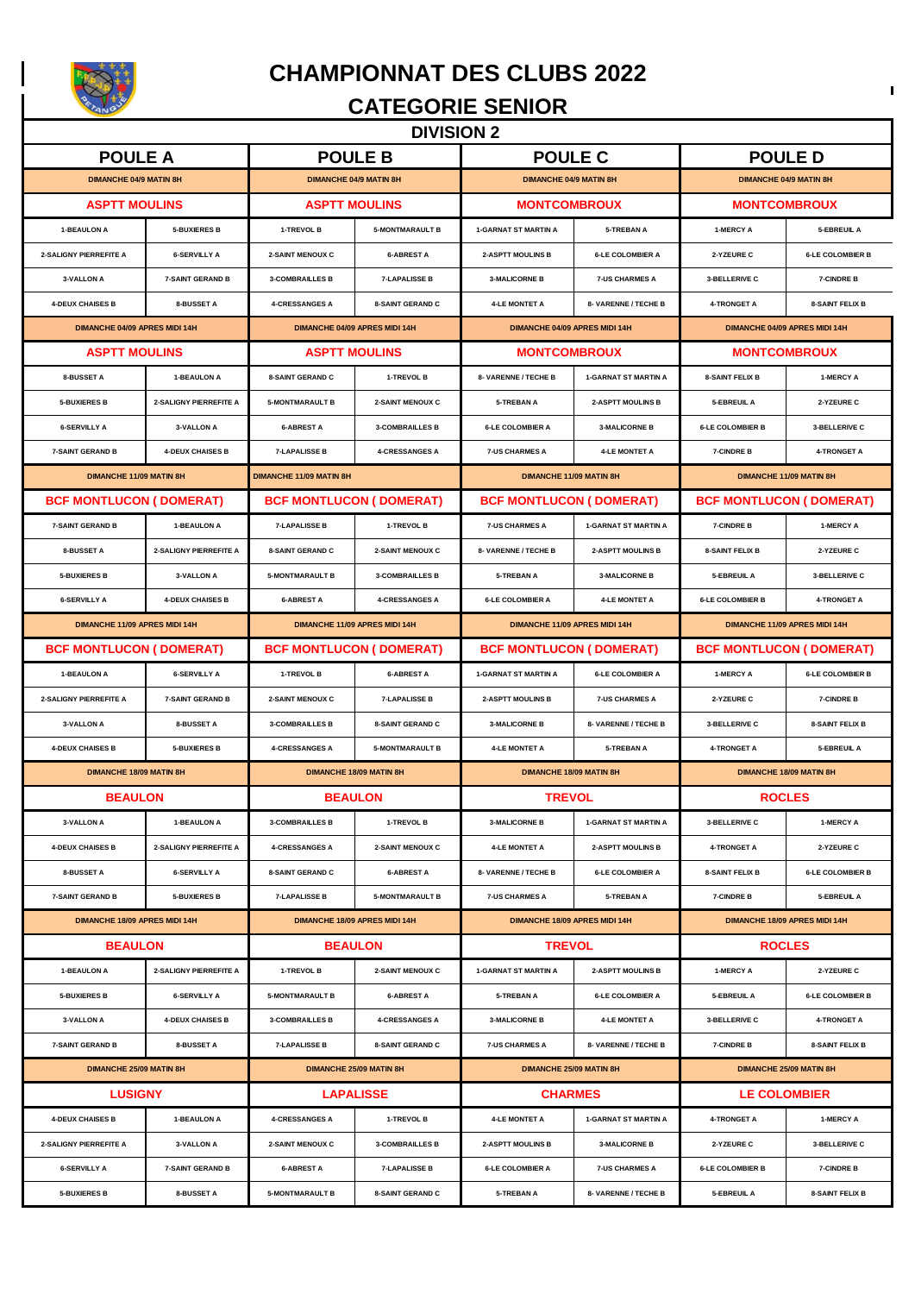

**CHAMPIONNAT DES CLUBS 2022**

#### **CATEGORIE SENIOR**

**DIVISION 2** 

| <b>POULE A</b>                 |                                    | <b>POULE B</b>                  |                                | <b>POULE C</b>                  |                             | <b>POULED</b>                   |                         |
|--------------------------------|------------------------------------|---------------------------------|--------------------------------|---------------------------------|-----------------------------|---------------------------------|-------------------------|
| <b>DIMANCHE 04/9 MATIN 8H</b>  |                                    | <b>DIMANCHE 04/9 MATIN 8H</b>   |                                | <b>DIMANCHE 04/9 MATIN 8H</b>   |                             | <b>DIMANCHE 04/9 MATIN 8H</b>   |                         |
| <b>ASPTT MOULINS</b>           |                                    | <b>ASPTT MOULINS</b>            |                                | <b>MONTCOMBROUX</b>             |                             | <b>MONTCOMBROUX</b>             |                         |
| 1-BEAULON A                    | <b>5-BUXIERES B</b>                | 1-TREVOL B                      | <b>5-MONTMARAULT B</b>         | <b>1-GARNAT ST MARTIN A</b>     | <b>5-TREBAN A</b>           | 1-MERCY A                       | 5-EBREUIL A             |
| 2-SALIGNY PIERREFITE A         | <b>6-SERVILLY A</b>                | 2-SAINT MENOUX C                | <b>6-ABREST A</b>              | <b>2-ASPTT MOULINS B</b>        | <b>6-LE COLOMBIER A</b>     | 2-YZEURE C                      | <b>6-LE COLOMBIER B</b> |
| 3-VALLON A                     | <b>7-SAINT GERAND B</b>            | <b>3-COMBRAILLES B</b>          | <b>7-LAPALISSE B</b>           | <b>3-MALICORNE B</b>            | <b>7-US CHARMES A</b>       | 3-BELLERIVE C                   | 7-CINDRE B              |
| <b>4-DEUX CHAISES B</b>        | 8-BUSSET A                         | <b>4-CRESSANGES A</b>           | <b>8-SAINT GERAND C</b>        | <b>4-LE MONTET A</b>            | 8- VARENNE / TECHE B        | <b>4-TRONGET A</b>              | <b>8-SAINT FELIX B</b>  |
| DIMANCHE 04/09 APRES MIDI 14H  |                                    | DIMANCHE 04/09 APRES MIDI 14H   |                                | DIMANCHE 04/09 APRES MIDI 14H   |                             | DIMANCHE 04/09 APRES MIDI 14H   |                         |
| <b>ASPTT MOULINS</b>           |                                    | <b>ASPTT MOULINS</b>            |                                | <b>MONTCOMBROUX</b>             |                             | <b>MONTCOMBROUX</b>             |                         |
| 8-BUSSET A                     | 1-BEAULON A                        | <b>8-SAINT GERAND C</b>         | 1-TREVOL B                     | 8- VARENNE / TECHE B            | <b>1-GARNAT ST MARTIN A</b> | <b>8-SAINT FELIX B</b>          | 1-MERCY A               |
| <b>5-BUXIERES B</b>            | 2-SALIGNY PIERREFITE A             | <b>5-MONTMARAULT B</b>          | 2-SAINT MENOUX C               | 5-TREBAN A                      | <b>2-ASPTT MOULINS B</b>    | 5-EBREUIL A                     | 2-YZEURE C              |
| <b>6-SERVILLY A</b>            | <b>3-VALLON A</b>                  | <b>6-ABREST A</b>               | <b>3-COMBRAILLES B</b>         | <b>6-LE COLOMBIER A</b>         | <b>3-MALICORNE B</b>        | <b>6-LE COLOMBIER B</b>         | 3-BELLERIVE C           |
| <b>7-SAINT GERAND B</b>        | <b>4-DEUX CHAISES B</b>            | <b>7-LAPALISSE B</b>            | <b>4-CRESSANGES A</b>          | <b>7-US CHARMES A</b>           | <b>4-LE MONTET A</b>        | <b>7-CINDRE B</b>               | 4-TRONGET A             |
| DIMANCHE 11/09 MATIN 8H        |                                    | DIMANCHE 11/09 MATIN 8H         |                                | DIMANCHE 11/09 MATIN 8H         |                             | DIMANCHE 11/09 MATIN 8H         |                         |
| <b>BCF MONTLUCON (DOMERAT)</b> |                                    | <b>BCF MONTLUCON ( DOMERAT)</b> |                                | <b>BCF MONTLUCON ( DOMERAT)</b> |                             | <b>BCF MONTLUCON ( DOMERAT)</b> |                         |
| <b>7-SAINT GERAND B</b>        | 1-BEAULON A                        | <b>7-LAPALISSE B</b>            | 1-TREVOL B                     | <b>7-US CHARMES A</b>           | <b>1-GARNAT ST MARTIN A</b> | <b>7-CINDRE B</b>               | 1-MERCY A               |
| 8-BUSSET A                     | 2-SALIGNY PIERREFITE A             | <b>8-SAINT GERAND C</b>         | 2-SAINT MENOUX C               | 8- VARENNE / TECHE B            | <b>2-ASPTT MOULINS B</b>    | <b>8-SAINT FELIX B</b>          | 2-YZEURE C              |
| <b>5-BUXIERES B</b>            | <b>3-VALLON A</b>                  | <b>5-MONTMARAULT B</b>          | <b>3-COMBRAILLES B</b>         | 5-TREBAN A                      | <b>3-MALICORNE B</b>        | 5-EBREUIL A                     | 3-BELLERIVE C           |
| <b>6-SERVILLY A</b>            | <b>4-DEUX CHAISES B</b>            | <b>6-ABREST A</b>               | <b>4-CRESSANGES A</b>          | <b>6-LE COLOMBIER A</b>         | <b>4-LE MONTET A</b>        | <b>6-LE COLOMBIER B</b>         | <b>4-TRONGET A</b>      |
| DIMANCHE 11/09 APRES MIDI 14H  |                                    |                                 | DIMANCHE 11/09 APRES MIDI 14H  | DIMANCHE 11/09 APRES MIDI 14H   |                             | DIMANCHE 11/09 APRES MIDI 14H   |                         |
| <b>BCF MONTLUCON (DOMERAT)</b> |                                    |                                 | <b>BCF MONTLUCON (DOMERAT)</b> | <b>BCF MONTLUCON (DOMERAT)</b>  |                             | <b>BCF MONTLUCON (DOMERAT)</b>  |                         |
| <b>1-BEAULON A</b>             | <b>6-SERVILLY A</b>                | 1-TREVOL B                      | <b>6-ABREST A</b>              | <b>1-GARNAT ST MARTIN A</b>     | <b>6-LE COLOMBIER A</b>     | 1-MERCY A                       | <b>6-LE COLOMBIER B</b> |
| 2-SALIGNY PIERREFITE A         | <b>7-SAINT GERAND B</b>            | 2-SAINT MENOUX C                | <b>7-LAPALISSE B</b>           | <b>2-ASPTT MOULINS B</b>        | <b>7-US CHARMES A</b>       | 2-YZEURE C                      | 7-CINDRE B              |
| 3-VALLON A                     | 8-BUSSET A                         | <b>3-COMBRAILLES B</b>          | <b>8-SAINT GERAND C</b>        | <b>3-MALICORNE B</b>            | 8- VARENNE / TECHE B        | 3-BELLERIVE C                   | <b>8-SAINT FELIX B</b>  |
| <b>4-DEUX CHAISES B</b>        | <b>5-BUXIERES B</b>                | <b>4-CRESSANGES A</b>           | <b>5-MONTMARAULT B</b>         | <b>4-LE MONTET A</b>            | <b>5-TREBAN A</b>           | <b>4-TRONGET A</b>              | 5-EBREUIL A             |
| <b>DIMANCHE 18/09 MATIN 8H</b> |                                    |                                 | DIMANCHE 18/09 MATIN 8H        | <b>DIMANCHE 18/09 MATIN 8H</b>  |                             | <b>DIMANCHE 18/09 MATIN 8H</b>  |                         |
| <b>BEAULON</b>                 |                                    |                                 | <b>BEAULON</b>                 | <b>TREVOL</b>                   |                             | <b>ROCLES</b>                   |                         |
| 3-VALLON A                     | <b>1-BEAULON A</b>                 | <b>3-COMBRAILLES B</b>          | 1-TREVOL B                     | <b>3-MALICORNE B</b>            | <b>1-GARNAT ST MARTIN A</b> | 3-BELLERIVE C                   | 1-MERCY A               |
| <b>4-DEUX CHAISES B</b>        | 2-SALIGNY PIERREFITE A             | <b>4-CRESSANGES A</b>           | 2-SAINT MENOUX C               | <b>4-LE MONTET A</b>            | <b>2-ASPTT MOULINS B</b>    | <b>4-TRONGET A</b>              | 2-YZEURE C              |
| <b>8-BUSSET A</b>              | <b>6-SERVILLY A</b>                | 8-SAINT GERAND C                | <b>6-ABREST A</b>              | 8- VARENNE / TECHE B            | <b>6-LE COLOMBIER A</b>     | <b>8-SAINT FELIX B</b>          | <b>6-LE COLOMBIER B</b> |
| <b>7-SAINT GERAND B</b>        | <b>5-BUXIERES B</b>                | <b>7-LAPALISSE B</b>            | <b>5-MONTMARAULT B</b>         | <b>7-US CHARMES A</b>           | <b>5-TREBAN A</b>           | 7-CINDRE B                      | 5-EBREUIL A             |
| DIMANCHE 18/09 APRES MIDI 14H  |                                    |                                 | DIMANCHE 18/09 APRES MIDI 14H  | DIMANCHE 18/09 APRES MIDI 14H   |                             | DIMANCHE 18/09 APRES MIDI 14H   |                         |
| <b>BEAULON</b>                 |                                    |                                 | <b>BEAULON</b>                 | <b>TREVOL</b>                   |                             | <b>ROCLES</b>                   |                         |
| 1-BEAULON A                    | 2-SALIGNY PIERREFITE A             | 1-TREVOL B                      | 2-SAINT MENOUX C               | <b>1-GARNAT ST MARTIN A</b>     | <b>2-ASPTT MOULINS B</b>    | 1-MERCY A                       | 2-YZEURE C              |
| <b>5-BUXIERES B</b>            | <b>6-SERVILLY A</b>                | <b>5-MONTMARAULT B</b>          | <b>6-ABREST A</b>              | <b>5-TREBAN A</b>               | <b>6-LE COLOMBIER A</b>     | 5-EBREUIL A                     | <b>6-LE COLOMBIER B</b> |
| 3-VALLON A                     | <b>4-DEUX CHAISES B</b>            | <b>3-COMBRAILLES B</b>          | <b>4-CRESSANGES A</b>          | <b>3-MALICORNE B</b>            | <b>4-LE MONTET A</b>        | 3-BELLERIVE C                   | 4-TRONGET A             |
| <b>7-SAINT GERAND B</b>        | 8-BUSSET A                         | <b>7-LAPALISSE B</b>            | <b>8-SAINT GERAND C</b>        | <b>7-US CHARMES A</b>           | 8- VARENNE / TECHE B        | <b>7-CINDRE B</b>               | <b>8-SAINT FELIX B</b>  |
| DIMANCHE 25/09 MATIN 8H        |                                    | DIMANCHE 25/09 MATIN 8H         |                                | DIMANCHE 25/09 MATIN 8H         |                             | DIMANCHE 25/09 MATIN 8H         |                         |
|                                | <b>LUSIGNY</b><br><b>LAPALISSE</b> |                                 |                                | <b>CHARMES</b>                  |                             |                                 | <b>LE COLOMBIER</b>     |
| <b>4-DEUX CHAISES B</b>        | 1-BEAULON A                        | <b>4-CRESSANGES A</b>           | 1-TREVOL B                     | <b>4-LE MONTET A</b>            | <b>1-GARNAT ST MARTIN A</b> | <b>4-TRONGET A</b>              | 1-MERCY A               |
| 2-SALIGNY PIERREFITE A         | <b>3-VALLON A</b>                  | <b>2-SAINT MENOUX C</b>         | <b>3-COMBRAILLES B</b>         | <b>2-ASPTT MOULINS B</b>        | <b>3-MALICORNE B</b>        | 2-YZEURE C                      | 3-BELLERIVE C           |
| <b>6-SERVILLY A</b>            | <b>7-SAINT GERAND B</b>            | <b>6-ABREST A</b>               | <b>7-LAPALISSE B</b>           | <b>6-LE COLOMBIER A</b>         | <b>7-US CHARMES A</b>       | <b>6-LE COLOMBIER B</b>         | 7-CINDRE B              |
| <b>5-BUXIERES B</b>            | 8-BUSSET A                         | <b>5-MONTMARAULT B</b>          | <b>8-SAINT GERAND C</b>        | 5-TREBAN A                      | 8- VARENNE / TECHE B        | 5-EBREUIL A                     | <b>8-SAINT FELIX B</b>  |